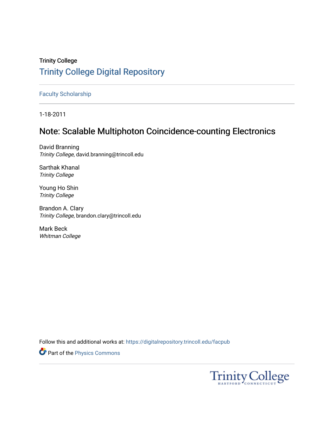## Trinity College [Trinity College Digital Repository](https://digitalrepository.trincoll.edu/)

## [Faculty Scholarship](https://digitalrepository.trincoll.edu/facpub)

1-18-2011

## Note: Scalable Multiphoton Coincidence-counting Electronics

David Branning Trinity College, david.branning@trincoll.edu

Sarthak Khanal Trinity College

Young Ho Shin Trinity College

Brandon A. Clary Trinity College, brandon.clary@trincoll.edu

Mark Beck Whitman College

Follow this and additional works at: [https://digitalrepository.trincoll.edu/facpub](https://digitalrepository.trincoll.edu/facpub?utm_source=digitalrepository.trincoll.edu%2Ffacpub%2F4&utm_medium=PDF&utm_campaign=PDFCoverPages) 

Part of the [Physics Commons](http://network.bepress.com/hgg/discipline/193?utm_source=digitalrepository.trincoll.edu%2Ffacpub%2F4&utm_medium=PDF&utm_campaign=PDFCoverPages)

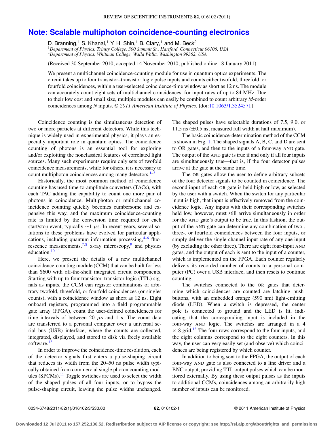## **[Note: Scalable multiphoton coincidence-counting electronics](http://dx.doi.org/10.1063/1.3524571)**

D. Branning,<sup>1</sup> S. Khanal,<sup>1</sup> Y. H. Shin,<sup>1</sup> B. Clary,<sup>1</sup> and M. Beck<sup>2</sup> <sup>1</sup>*Department of Physics, Trinity College, 300 Summit St., Hartford, Connecticut 06106, USA*

<sup>2</sup>*Department of Physics, Whitman College, Walla Walla, Washington 99362, USA*

(Received 30 September 2010; accepted 14 November 2010; published online 18 January 2011)

We present a multichannel coincidence-counting module for use in quantum optics experiments. The circuit takes up to four transistor–transistor logic pulse inputs and counts either twofold, threefold, or fourfold coincidences, within a user-selected coincidence-time window as short as 12 ns. The module can accurately count eight sets of multichannel coincidences, for input rates of up to 84 MHz. Due to their low cost and small size, multiple modules can easily be combined to count arbitrary *M*-order coincidences among *N* inputs. *© 2011 American Institute of Physics*. [doi[:10.1063/1.3524571\]](http://dx.doi.org/10.1063/1.3524571)

Coincidence counting is the simultaneous detection of two or more particles at different detectors. While this technique is widely used in experimental physics, it plays an especially important role in quantum optics. The coincidence counting of photons is an essential tool for exploring and/or exploiting the nonclassical features of correlated light sources. Many such experiments require only sets of twofold coincidence measurements, while for others, it is necessary to count multiphoton coincidences among many detectors. $1-3$ 

Historically, the most common method of coincidence counting has used time-to-amplitude converters (TACs), with each TAC adding the capability to count one more pair of photons in coincidence. Multiphoton or multichannel coincidence counting quickly becomes cumbersome and expensive this way, and the maximum coincidence-counting rate is limited by the conversion time required for each start/stop event, typically  $\sim$ 1  $\mu$ s. In recent years, several solutions to these problems have evolved for particular applications, including quantum information processing,  $4-6$  $4-6$  fluo-rescence measurements,<sup>7,[8](#page-3-5)</sup> x-ray microscopy,<sup>[9](#page-3-6)</sup> and physics education.<sup>[10,](#page-3-7) [11](#page-3-8)</sup>

Here, we present the details of a new multichannel coincidence-counting module (CCM) that can be built for less than \$600 with off-the-shelf integrated circuit components. Starting with up to four transistor–transistor logic (TTL) signals as inputs, the CCM can register combinations of arbitrary twofold, threefold, or fourfold coincidences (or singles counts), with a coincidence window as short as 12 ns. Eight onboard registers, programmed into a field programmable gate array (FPGA), count the user-defined coincidences for time intervals of between 20  $\mu$ s and 1 s. The count data are transferred to a personal computer over a universal serial bus (USB) interface, where the counts are collected, integrated, displayed, and stored to disk via freely available software.<sup>12</sup>

In order to improve the coincidence-time resolution, each of the detector signals first enters a pulse-shaping circuit that reduces its width from the 20–50 ns pulse width typically obtained from commercial single photon counting modules  $(SPCMs).$ <sup>[11](#page-3-8)</sup> Toggle switches are used to select the width of the shaped pulses of all four inputs, or to bypass the pulse-shaping circuit, leaving the pulse widths unchanged.

The shaped pulses have selectable durations of 7.5, 9.0, or 11.5 ns  $(\pm 0.5 \text{ ns}, \text{measured full width at half maximum}).$ 

The basic coincidence-determination method of the CCM is shown in Fig. [1.](#page-2-0) The shaped signals A, B, C, and D are sent to OR gates, and then to the inputs of a four-way AND gate. The output of the AND gate is true if and only if all four inputs are simultaneously true—that is, if the four detector pulses arrive at the gate at the same time.

The OR gates allow the user to define arbitrary subsets of the four detector signals to be counted in coincidence. The second input of each OR gate is held high or low, as selected by the user with a switch. When the switch for any particular input is high, that input is effectively removed from the coincidence logic. Any inputs with their corresponding switches held low, however, must still arrive simultaneously in order for the AND gate's output to be true. In this fashion, the output of the AND gate can determine any combination of two-, three-, or fourfold coincidences between the four inputs, or simply deliver the single-channel input rate of any one input (by excluding the other three). There are eight four-input AND gates, and the output of each is sent to the input of a counter, which is implemented on the FPGA. Each counter regularly delivers its recorded number of counts to a personal computer (PC) over a USB interface, and then resets to continue counting.

The switches connected to the OR gates that determine which coincidences are counted are latching pushbuttons, with an embedded orange (590 nm) light-emitting diode (LED). When a switch is depressed, the center pole is connected to ground and the LED is lit, indicating that the corresponding input is included in the four-way AND logic. The switches are arranged in a 4  $\times$  8 grid.<sup>[13](#page-3-10)</sup> The four rows correspond to the four inputs, and the eight columns correspond to the eight counters. In this way, the user can very easily set (and observe) which coincidences are being registered by which counter.

In addition to being sent to the FPGA, the output of each four-way AND gate is also connected to a line driver and a BNC output, providing TTL output pulses which can be monitored externally. By using these output pulses as the inputs to additional CCMs, coincidences among an arbitrarily high number of inputs can be monitored.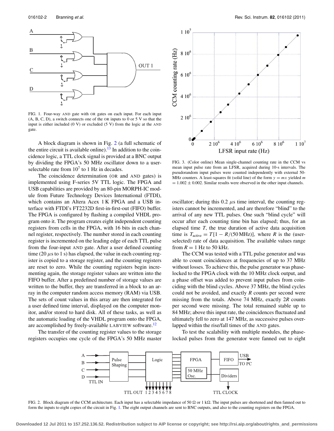<span id="page-2-0"></span>

FIG. 1. Four-way AND gate with OR gates on each input. For each input (A, B, C, D), a switch connects one of the OR inputs to 0 or 5 V so that the input is either included (0 V) or excluded (5 V) from the logic at the AND gate.

A block diagram is shown in Fig. [2](#page-2-1) (a full schematic of the entire circuit is available online).<sup>[13](#page-3-10)</sup> In addition to the coincidence logic, a TTL clock signal is provided at a BNC output by dividing the FPGA's 50 MHz oscillator down to a userselectable rate from  $10<sup>7</sup>$  to 1 Hz in decades.

The coincidence determination (OR and AND gates) is implemented using F-series 5V TTL logic. The FPGA and USB capabilities are provided by an 80-pin MORPH-IC module from Future Technology Devices International (FTDI), which contains an Altera Acex 1 K FPGA and a USB interface with FTDI's FT2232D first-in-first-out (FIFO) buffer. The FPGA is configured by flashing a compiled VHDL program onto it. The program creates eight independent counting registers from cells in the FPGA, with 16 bits in each channel register, respectively. The number stored in each counting register is incremented on the leading edge of each TTL pulse from the four-input AND gate. After a user defined counting time (20  $\mu$ s to 1 s) has elapsed, the value in each counting register is copied to a storage register, and the counting registers are reset to zero. While the counting registers begin incrementing again, the storage register values are written into the FIFO buffer. After a predefined number of storage values are written to the buffer, they are transferred in a block to an array in the computer random access memory (RAM) via USB. The sets of count values in this array are then integrated for a user defined time interval, displayed on the computer monitor, and/or stored to hard disk. All of these tasks, as well as the automatic loading of the VHDL program onto the FPGA, are accomplished by freely-available LABVIEW software.<sup>12</sup>

<span id="page-2-1"></span>The transfer of the counting register values to the storage registers occupies one cycle of the FPGA's 50 MHz master

<span id="page-2-2"></span>

FIG. 3. (Color online) Mean single-channel counting rate in the CCM vs mean input pulse rate from an LFSR, acquired during 10-s intervals. The pseudorandom input pulses were counted independently with external 50- MHz counters. A least-squares fit (solid line) of the form  $y = mx$  yielded *m*  $= 1.002 \pm 0.002$ . Similar results were observed in the other input channels.

oscillator; during this  $0.2 \mu s$  time interval, the counting registers cannot be incremented, and are therefore "blind" to the arrival of any new TTL pulses. One such "blind cycle" will occur after each counting time bin has elapsed; thus, for an elapsed time *T*, the true duration of active data acquisition time is  $T_{\text{active}} = T[1 - R/(50 \text{ MHz})]$ , where *R* is the (userselected) rate of data acquisition. The available values range from  $R = 1$  Hz to 50 kHz.

The CCM was tested with a TTL pulse generator and was able to count coincidences at frequencies of up to 37 MHz without losses. To achieve this, the pulse generator was phaselocked to the FPGA clock with the 10 MHz clock output, and a phase offset was added to prevent input pulses from coinciding with the blind cycles. Above 37 MHz, the blind cycles could not be avoided, and exactly *R* counts per second were missing from the totals. Above 74 MHz, exactly 2*R* counts per second were missing. The total remained stable up to 84 MHz; above this input rate, the coincidences fluctuated and ultimately fell to zero at 147 MHz, as successive pulses overlapped within the rise/fall times of the AND gates.

To test the scalability with multiple modules, the phaselocked pulses from the generator were fanned out to eight



FIG. 2. Block diagram of the CCM architecture. Each input has a selectable impedance of 50  $\Omega$  or 1 k $\Omega$ . The input pulses are shortened and then fanned out to form the inputs to eight copies of the circuit in Fig. [1.](#page-2-0) The eight output channels are sent to BNC outputs, and also to the counting registers on the FPGA.